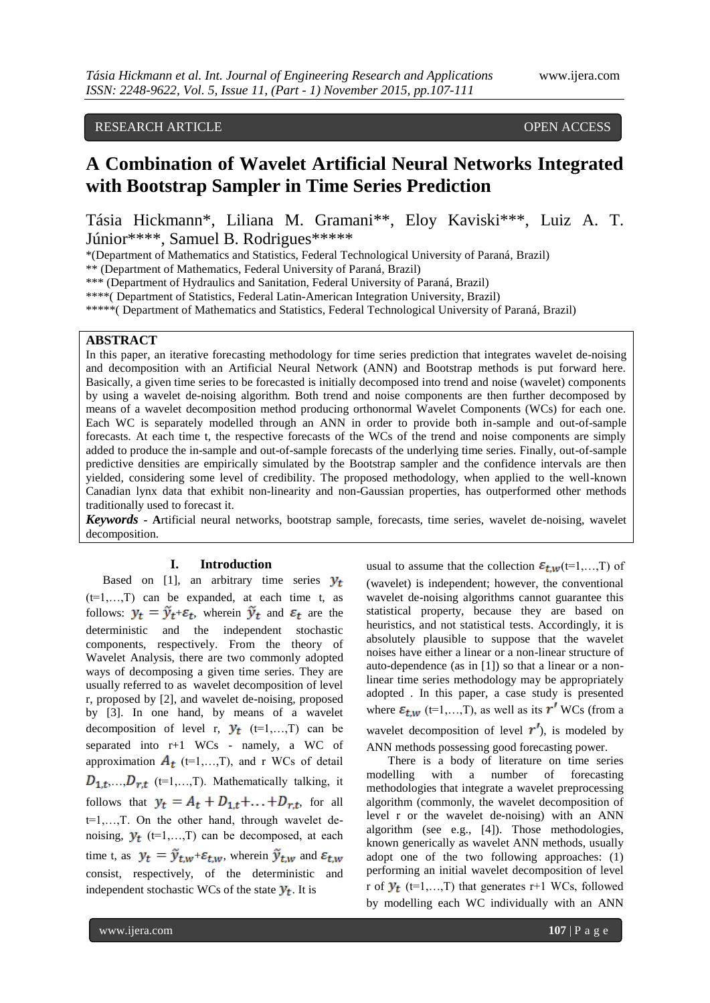## RESEARCH ARTICLE **CONSERVERS** OPEN ACCESS

# **A Combination of Wavelet Artificial Neural Networks Integrated with Bootstrap Sampler in Time Series Prediction**

Tásia Hickmann\*, Liliana M. Gramani\*\*, Eloy Kaviski\*\*\*, Luiz A. T. Júnior\*\*\*\*, Samuel B. Rodrigues\*\*\*\*\*

\*(Department of Mathematics and Statistics, Federal Technological University of Paraná, Brazil)

\*\* (Department of Mathematics, Federal University of Paraná, Brazil)

\*\*\* (Department of Hydraulics and Sanitation, Federal University of Paraná, Brazil)

\*\*\*\*( Department of Statistics, Federal Latin-American Integration University, Brazil)

\*\*\*\*\*( Department of Mathematics and Statistics, Federal Technological University of Paraná, Brazil)

## **ABSTRACT**

In this paper, an iterative forecasting methodology for time series prediction that integrates wavelet de-noising and decomposition with an Artificial Neural Network (ANN) and Bootstrap methods is put forward here. Basically, a given time series to be forecasted is initially decomposed into trend and noise (wavelet) components by using a wavelet de-noising algorithm. Both trend and noise components are then further decomposed by means of a wavelet decomposition method producing orthonormal Wavelet Components (WCs) for each one. Each WC is separately modelled through an ANN in order to provide both in-sample and out-of-sample forecasts. At each time t, the respective forecasts of the WCs of the trend and noise components are simply added to produce the in-sample and out-of-sample forecasts of the underlying time series. Finally, out-of-sample predictive densities are empirically simulated by the Bootstrap sampler and the confidence intervals are then yielded, considering some level of credibility. The proposed methodology, when applied to the well-known Canadian lynx data that exhibit non-linearity and non-Gaussian properties, has outperformed other methods traditionally used to forecast it.

*Keywords* **- A**rtificial neural networks, bootstrap sample, forecasts, time series, wavelet de-noising, wavelet decomposition.

## **I. Introduction**

Based on [1], an arbitrary time series  $y_t$  $(t=1,...,T)$  can be expanded, at each time t, as follows:  $y_t = \tilde{y}_{t+\varepsilon_t}$ , wherein  $\tilde{y}_t$  and  $\varepsilon_t$  are the deterministic and the independent stochastic components, respectively. From the theory of Wavelet Analysis, there are two commonly adopted ways of decomposing a given time series. They are usually referred to as wavelet decomposition of level r, proposed by [2], and wavelet de-noising, proposed by [3]. In one hand, by means of a wavelet decomposition of level r,  $y_t$  (t=1,...,T) can be separated into r+1 WCs - namely, a WC of approximation  $A_t$  (t=1,...,T), and r WCs of detail  $D_{1,t},..., D_{r,t}$  (t=1,...,T). Mathematically talking, it follows that  $y_t = A_t + D_{1,t} + \ldots + D_{r,t}$ , for all t=1,…,T. On the other hand, through wavelet denoising,  $y_t$  (t=1,...,T) can be decomposed, at each time t, as  $y_t = \tilde{y}_{t,w} + \varepsilon_{t,w}$ , wherein  $\tilde{y}_{t,w}$  and  $\varepsilon_{t,w}$ consist, respectively, of the deterministic and independent stochastic WCs of the state  $y_t$ . It is

usual to assume that the collection  $\varepsilon_{t,w}$  (t=1,…,T) of (wavelet) is independent; however, the conventional wavelet de-noising algorithms cannot guarantee this statistical property, because they are based on heuristics, and not statistical tests. Accordingly, it is absolutely plausible to suppose that the wavelet noises have either a linear or a non-linear structure of auto-dependence (as in [1]) so that a linear or a nonlinear time series methodology may be appropriately adopted . In this paper, a case study is presented where  $\varepsilon_{t,w}$  (t=1,...,T), as well as its  $r'$  WCs (from a wavelet decomposition of level  $r'$ ), is modeled by ANN methods possessing good forecasting power.

There is a body of literature on time series modelling with a number of forecasting methodologies that integrate a wavelet preprocessing algorithm (commonly, the wavelet decomposition of level r or the wavelet de-noising) with an ANN algorithm (see e.g., [4]). Those methodologies, known generically as wavelet ANN methods, usually adopt one of the two following approaches: (1) performing an initial wavelet decomposition of level r of  $y_t$  (t=1,...,T) that generates r+1 WCs, followed by modelling each WC individually with an ANN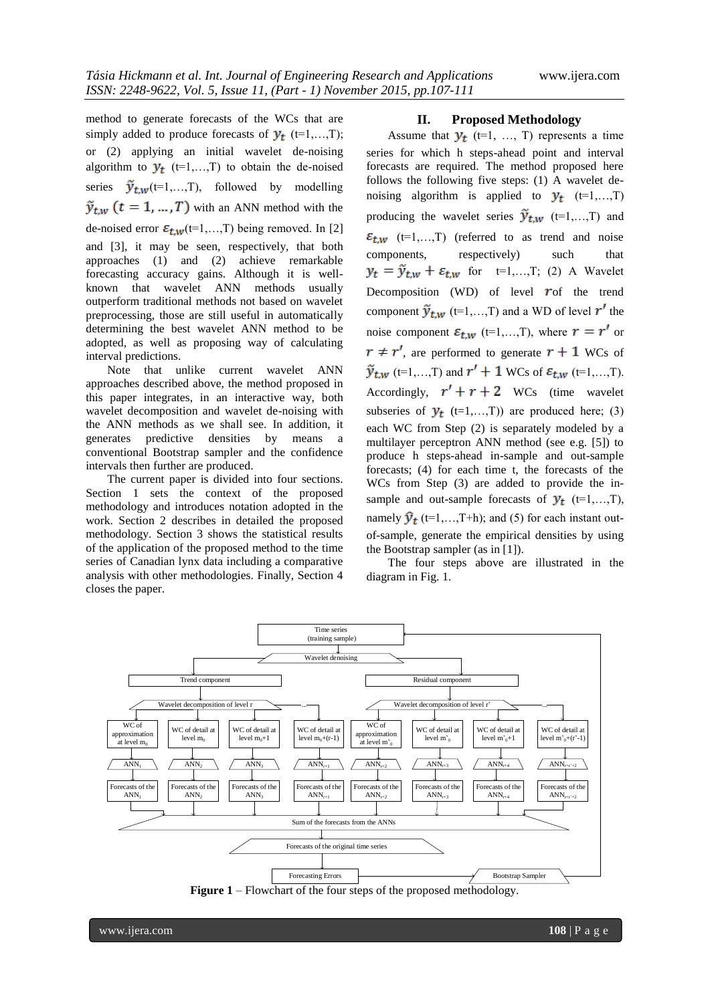method to generate forecasts of the WCs that are simply added to produce forecasts of  $y_t$  (t=1,...,T); or (2) applying an initial wavelet de-noising algorithm to  $y_t$  (t=1,...,T) to obtain the de-noised series  $\tilde{y}_{t,w}$  (t=1,...,T), followed by modelling  $\tilde{y}_{t,w}$   $(t = 1, ..., T)$  with an ANN method with the de-noised error  $\mathcal{E}_{t,w}$  (t=1,...,T) being removed. In [2] and [3], it may be seen, respectively, that both approaches (1) and (2) achieve remarkable forecasting accuracy gains. Although it is wellknown that wavelet ANN methods usually outperform traditional methods not based on wavelet preprocessing, those are still useful in automatically determining the best wavelet ANN method to be adopted, as well as proposing way of calculating interval predictions.

Note that unlike current wavelet ANN approaches described above, the method proposed in this paper integrates, in an interactive way, both wavelet decomposition and wavelet de-noising with the ANN methods as we shall see. In addition, it generates predictive densities by means a conventional Bootstrap sampler and the confidence intervals then further are produced.

The current paper is divided into four sections. Section 1 sets the context of the proposed methodology and introduces notation adopted in the work. Section 2 describes in detailed the proposed methodology. Section 3 shows the statistical results of the application of the proposed method to the time series of Canadian lynx data including a comparative analysis with other methodologies. Finally, Section 4 closes the paper.

#### **II. Proposed Methodology**

Assume that  $y_t$  (t=1, ..., T) represents a time series for which h steps-ahead point and interval forecasts are required. The method proposed here follows the following five steps: (1) A wavelet denoising algorithm is applied to  $y_t$  (t=1,...,T) producing the wavelet series  $\tilde{y}_{t,w}$  (t=1,...,T) and  $\varepsilon_{t,w}$  (t=1,...,T) (referred to as trend and noise components, respectively) such that  $y_t = \tilde{y}_{t,w} + \varepsilon_{t,w}$  for  $t=1,...,T$ ; (2) A Wavelet Decomposition (WD) of level  $\boldsymbol{r}$  of the trend component  $\tilde{y}_{t,w}$  (t=1,...,T) and a WD of level r' the noise component  $\varepsilon_{t,w}$  (t=1,...,T), where  $r = r'$  or  $r \neq r'$ , are performed to generate  $r + 1$  WCs of  $\tilde{y}_{t,w}$  (t=1,...,T) and  $r' + 1$  WCs of  $\varepsilon_{t,w}$  (t=1,...,T). Accordingly,  $r' + r + 2$  WCs (time wavelet subseries of  $y_t$  (t=1,...,T)) are produced here; (3) each WC from Step (2) is separately modeled by a multilayer perceptron ANN method (see e.g. [5]) to produce h steps-ahead in-sample and out-sample forecasts; (4) for each time t, the forecasts of the WCs from Step (3) are added to provide the insample and out-sample forecasts of  $y_t$  (t=1,...,T), namely  $\hat{y}_t$  (t=1,...,T+h); and (5) for each instant outof-sample, generate the empirical densities by using the Bootstrap sampler (as in [1]).

The four steps above are illustrated in the diagram in Fig. 1.



**Figure 1** – Flowchart of the four steps of the proposed methodology.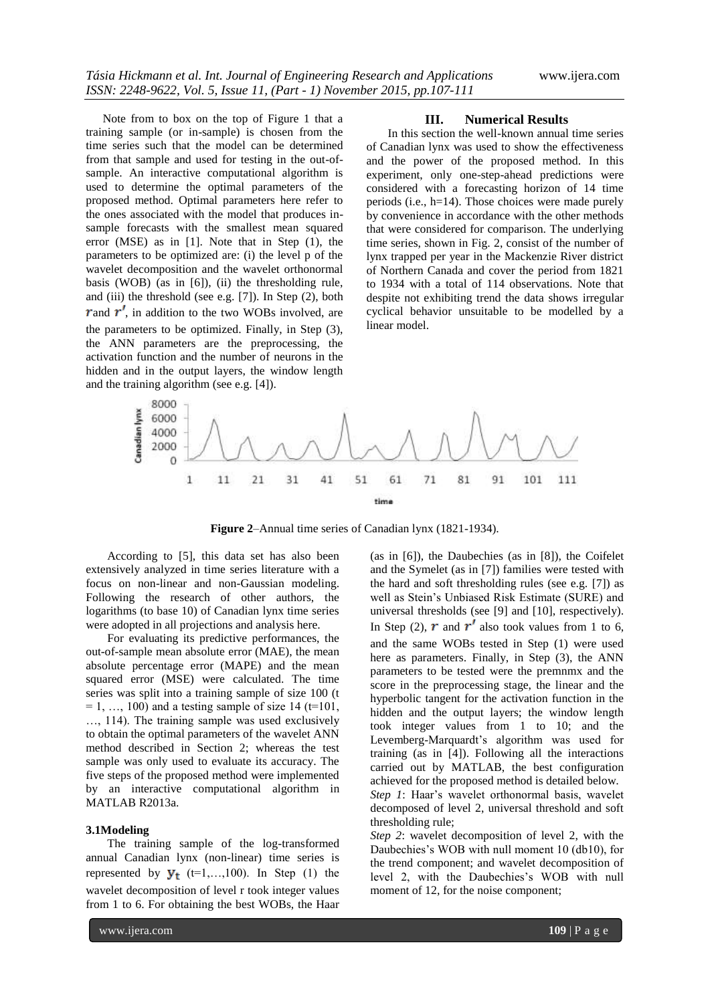Note from to box on the top of Figure 1 that a training sample (or in-sample) is chosen from the time series such that the model can be determined from that sample and used for testing in the out-ofsample. An interactive computational algorithm is used to determine the optimal parameters of the proposed method. Optimal parameters here refer to the ones associated with the model that produces insample forecasts with the smallest mean squared error (MSE) as in [1]. Note that in Step (1), the parameters to be optimized are: (i) the level p of the wavelet decomposition and the wavelet orthonormal basis (WOB) (as in [6]), (ii) the thresholding rule, and (iii) the threshold (see e.g. [7]). In Step (2), both r and  $r'$ , in addition to the two WOBs involved, are the parameters to be optimized. Finally, in Step (3), the ANN parameters are the preprocessing, the activation function and the number of neurons in the hidden and in the output layers, the window length and the training algorithm (see e.g. [4]).

#### **III. Numerical Results**

In this section the well-known annual time series of Canadian lynx was used to show the effectiveness and the power of the proposed method. In this experiment, only one-step-ahead predictions were considered with a forecasting horizon of 14 time periods (i.e., h=14). Those choices were made purely by convenience in accordance with the other methods that were considered for comparison. The underlying time series, shown in Fig. 2, consist of the number of lynx trapped per year in the Mackenzie River district of Northern Canada and cover the period from 1821 to 1934 with a total of 114 observations. Note that despite not exhibiting trend the data shows irregular cyclical behavior unsuitable to be modelled by a linear model.



**Figure 2**–Annual time series of Canadian lynx (1821-1934).

According to [5], this data set has also been extensively analyzed in time series literature with a focus on non-linear and non-Gaussian modeling. Following the research of other authors, the logarithms (to base 10) of Canadian lynx time series were adopted in all projections and analysis here.

For evaluating its predictive performances, the out-of-sample mean absolute error (MAE), the mean absolute percentage error (MAPE) and the mean squared error (MSE) were calculated. The time series was split into a training sample of size 100 (t  $= 1, \ldots, 100$  and a testing sample of size 14 (t=101, …, 114). The training sample was used exclusively to obtain the optimal parameters of the wavelet ANN method described in Section 2; whereas the test sample was only used to evaluate its accuracy. The five steps of the proposed method were implemented by an interactive computational algorithm in MATLAB R2013a.

## **3.1Modeling**

The training sample of the log-transformed annual Canadian lynx (non-linear) time series is represented by  $\mathbf{y}_t$  (t=1,...,100). In Step (1) the wavelet decomposition of level r took integer values from 1 to 6. For obtaining the best WOBs, the Haar (as in [6]), the Daubechies (as in [8]), the Coifelet and the Symelet (as in [7]) families were tested with the hard and soft thresholding rules (see e.g. [7]) as well as Stein's Unbiased Risk Estimate (SURE) and universal thresholds (see [9] and [10], respectively). In Step (2),  $r$  and  $r'$  also took values from 1 to 6, and the same WOBs tested in Step (1) were used here as parameters. Finally, in Step (3), the ANN parameters to be tested were the premnmx and the score in the preprocessing stage, the linear and the hyperbolic tangent for the activation function in the hidden and the output layers; the window length took integer values from 1 to 10; and the Levemberg-Marquardt's algorithm was used for training (as in [4]). Following all the interactions carried out by MATLAB, the best configuration achieved for the proposed method is detailed below. *Step 1*: Haar's wavelet orthonormal basis, wavelet decomposed of level 2, universal threshold and soft thresholding rule;

*Step 2*: wavelet decomposition of level 2, with the Daubechies's WOB with null moment 10 (db10), for the trend component; and wavelet decomposition of level 2, with the Daubechies's WOB with null moment of 12, for the noise component;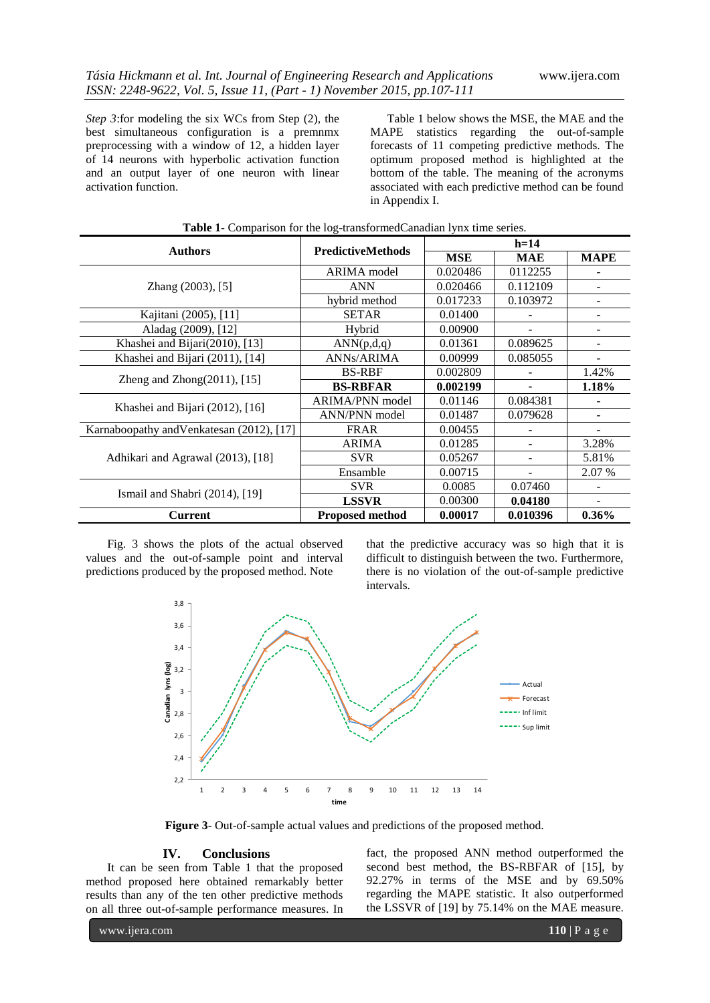*Step 3*:for modeling the six WCs from Step (2), the best simultaneous configuration is a premnmx preprocessing with a window of 12, a hidden layer of 14 neurons with hyperbolic activation function and an output layer of one neuron with linear activation function.

Table 1 below shows the MSE, the MAE and the MAPE statistics regarding the out-of-sample forecasts of 11 competing predictive methods. The optimum proposed method is highlighted at the bottom of the table. The meaning of the acronyms associated with each predictive method can be found in Appendix I.

| <b>Authors</b>                            |                          | $h=14$     |                          |                          |
|-------------------------------------------|--------------------------|------------|--------------------------|--------------------------|
|                                           | <b>PredictiveMethods</b> | <b>MSE</b> | <b>MAE</b>               | <b>MAPE</b>              |
| Zhang (2003), [5]                         | ARIMA model              | 0.020486   | 0112255                  |                          |
|                                           | <b>ANN</b>               | 0.020466   | 0.112109                 |                          |
|                                           | hybrid method            | 0.017233   | 0.103972                 |                          |
| Kajitani (2005), [11]                     | <b>SETAR</b>             | 0.01400    |                          | ۰                        |
| Aladag (2009), [12]                       | Hybrid                   | 0.00900    | $\overline{\phantom{a}}$ | -                        |
| Khashei and Bijari(2010), [13]            | ANN(p,d,q)               | 0.01361    | 0.089625                 |                          |
| Khashei and Bijari (2011), [14]           | <b>ANNs/ARIMA</b>        | 0.00999    | 0.085055                 |                          |
| Zheng and Zhong $(2011)$ , [15]           | <b>BS-RBF</b>            | 0.002809   |                          | 1.42%                    |
|                                           | <b>BS-RBFAR</b>          | 0.002199   |                          | 1.18%                    |
| Khashei and Bijari (2012), [16]           | <b>ARIMA/PNN</b> model   | 0.01146    | 0.084381                 |                          |
|                                           | ANN/PNN model            | 0.01487    | 0.079628                 | $\overline{\phantom{m}}$ |
| Karnaboopathy and Venkatesan (2012), [17] | <b>FRAR</b>              | 0.00455    |                          |                          |
| Adhikari and Agrawal (2013), [18]         | <b>ARIMA</b>             | 0.01285    |                          | 3.28%                    |
|                                           | <b>SVR</b>               | 0.05267    |                          | 5.81%                    |
|                                           | Ensamble                 | 0.00715    |                          | 2.07 %                   |
| Ismail and Shabri (2014), [19]            | <b>SVR</b>               | 0.0085     | 0.07460                  |                          |
|                                           | <b>LSSVR</b>             | 0.00300    | 0.04180                  | $\qquad \qquad -$        |
| <b>Current</b>                            | <b>Proposed method</b>   | 0.00017    | 0.010396                 | $0.36\%$                 |

|  | <b>Table 1-</b> Comparison for the log-transformed Canadian lynx time series. |  |
|--|-------------------------------------------------------------------------------|--|
|  |                                                                               |  |

Fig. 3 shows the plots of the actual observed values and the out-of-sample point and interval predictions produced by the proposed method. Note

that the predictive accuracy was so high that it is difficult to distinguish between the two. Furthermore, there is no violation of the out-of-sample predictive intervals.



**Figure 3**- Out-of-sample actual values and predictions of the proposed method.

## **IV. Conclusions**

It can be seen from Table 1 that the proposed method proposed here obtained remarkably better results than any of the ten other predictive methods on all three out-of-sample performance measures. In

fact, the proposed ANN method outperformed the second best method, the BS-RBFAR of [15], by 92.27% in terms of the MSE and by 69.50% regarding the MAPE statistic. It also outperformed the LSSVR of [19] by 75.14% on the MAE measure.